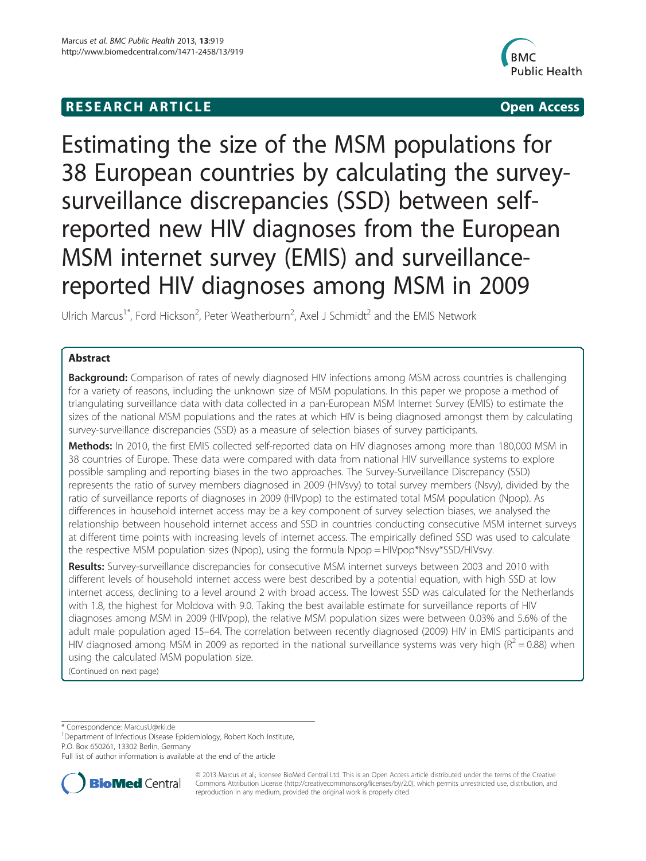# **RESEARCH ARTICLE Example 2008 CONSIDERING CONSIDERING CONSIDERING CONSIDERING CONSIDERING CONSIDERING CONSIDERING CONSIDERING CONSIDERING CONSIDERING CONSIDERING CONSIDERING CONSIDERING CONSIDERING CONSIDERING CONSIDE**



Estimating the size of the MSM populations for 38 European countries by calculating the surveysurveillance discrepancies (SSD) between selfreported new HIV diagnoses from the European MSM internet survey (EMIS) and surveillancereported HIV diagnoses among MSM in 2009

Ulrich Marcus<sup>1\*</sup>, Ford Hickson<sup>2</sup>, Peter Weatherburn<sup>2</sup>, Axel J Schmidt<sup>2</sup> and the EMIS Network

# Abstract

Background: Comparison of rates of newly diagnosed HIV infections among MSM across countries is challenging for a variety of reasons, including the unknown size of MSM populations. In this paper we propose a method of triangulating surveillance data with data collected in a pan-European MSM Internet Survey (EMIS) to estimate the sizes of the national MSM populations and the rates at which HIV is being diagnosed amongst them by calculating survey-surveillance discrepancies (SSD) as a measure of selection biases of survey participants.

Methods: In 2010, the first EMIS collected self-reported data on HIV diagnoses among more than 180,000 MSM in 38 countries of Europe. These data were compared with data from national HIV surveillance systems to explore possible sampling and reporting biases in the two approaches. The Survey-Surveillance Discrepancy (SSD) represents the ratio of survey members diagnosed in 2009 (HIVsvy) to total survey members (Nsvy), divided by the ratio of surveillance reports of diagnoses in 2009 (HIVpop) to the estimated total MSM population (Npop). As differences in household internet access may be a key component of survey selection biases, we analysed the relationship between household internet access and SSD in countries conducting consecutive MSM internet surveys at different time points with increasing levels of internet access. The empirically defined SSD was used to calculate the respective MSM population sizes (Npop), using the formula Npop = HIVpop\*Nsvy\*SSD/HIVsvy.

Results: Survey-surveillance discrepancies for consecutive MSM internet surveys between 2003 and 2010 with different levels of household internet access were best described by a potential equation, with high SSD at low internet access, declining to a level around 2 with broad access. The lowest SSD was calculated for the Netherlands with 1.8, the highest for Moldova with 9.0. Taking the best available estimate for surveillance reports of HIV diagnoses among MSM in 2009 (HIVpop), the relative MSM population sizes were between 0.03% and 5.6% of the adult male population aged 15–64. The correlation between recently diagnosed (2009) HIV in EMIS participants and HIV diagnosed among MSM in 2009 as reported in the national surveillance systems was very high ( $R^2$  = 0.88) when using the calculated MSM population size.

(Continued on next page)

\* Correspondence: [MarcusU@rki.de](mailto:MarcusU@rki.de) <sup>1</sup>

<sup>1</sup>Department of Infectious Disease Epidemiology, Robert Koch Institute, P.O. Box 650261, 13302 Berlin, Germany

Full list of author information is available at the end of the article



© 2013 Marcus et al.; licensee BioMed Central Ltd. This is an Open Access article distributed under the terms of the Creative Commons Attribution License [\(http://creativecommons.org/licenses/by/2.0\)](http://creativecommons.org/licenses/by/2.0), which permits unrestricted use, distribution, and reproduction in any medium, provided the original work is properly cited.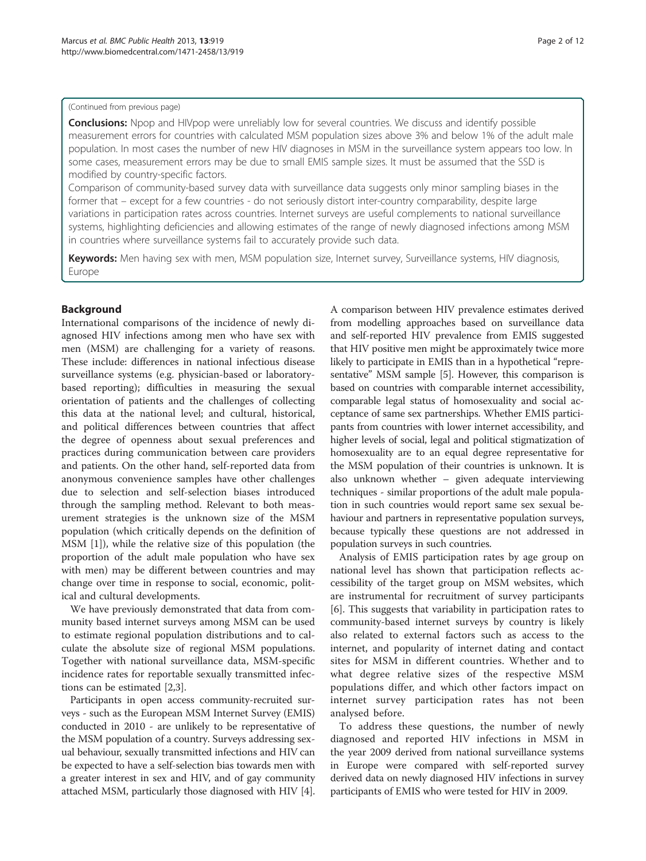### (Continued from previous page)

**Conclusions:** Npop and HIVpop were unreliably low for several countries. We discuss and identify possible measurement errors for countries with calculated MSM population sizes above 3% and below 1% of the adult male population. In most cases the number of new HIV diagnoses in MSM in the surveillance system appears too low. In some cases, measurement errors may be due to small EMIS sample sizes. It must be assumed that the SSD is modified by country-specific factors.

Comparison of community-based survey data with surveillance data suggests only minor sampling biases in the former that – except for a few countries - do not seriously distort inter-country comparability, despite large variations in participation rates across countries. Internet surveys are useful complements to national surveillance systems, highlighting deficiencies and allowing estimates of the range of newly diagnosed infections among MSM in countries where surveillance systems fail to accurately provide such data.

Keywords: Men having sex with men, MSM population size, Internet survey, Surveillance systems, HIV diagnosis, Europe

# Background

International comparisons of the incidence of newly diagnosed HIV infections among men who have sex with men (MSM) are challenging for a variety of reasons. These include: differences in national infectious disease surveillance systems (e.g. physician-based or laboratorybased reporting); difficulties in measuring the sexual orientation of patients and the challenges of collecting this data at the national level; and cultural, historical, and political differences between countries that affect the degree of openness about sexual preferences and practices during communication between care providers and patients. On the other hand, self-reported data from anonymous convenience samples have other challenges due to selection and self-selection biases introduced through the sampling method. Relevant to both measurement strategies is the unknown size of the MSM population (which critically depends on the definition of MSM [[1\]](#page-11-0)), while the relative size of this population (the proportion of the adult male population who have sex with men) may be different between countries and may change over time in response to social, economic, political and cultural developments.

We have previously demonstrated that data from community based internet surveys among MSM can be used to estimate regional population distributions and to calculate the absolute size of regional MSM populations. Together with national surveillance data, MSM-specific incidence rates for reportable sexually transmitted infections can be estimated [[2,3\]](#page-11-0).

Participants in open access community-recruited surveys - such as the European MSM Internet Survey (EMIS) conducted in 2010 - are unlikely to be representative of the MSM population of a country. Surveys addressing sexual behaviour, sexually transmitted infections and HIV can be expected to have a self-selection bias towards men with a greater interest in sex and HIV, and of gay community attached MSM, particularly those diagnosed with HIV [[4](#page-11-0)].

A comparison between HIV prevalence estimates derived from modelling approaches based on surveillance data and self-reported HIV prevalence from EMIS suggested that HIV positive men might be approximately twice more likely to participate in EMIS than in a hypothetical "representative" MSM sample [[5](#page-11-0)]. However, this comparison is based on countries with comparable internet accessibility, comparable legal status of homosexuality and social acceptance of same sex partnerships. Whether EMIS participants from countries with lower internet accessibility, and higher levels of social, legal and political stigmatization of homosexuality are to an equal degree representative for the MSM population of their countries is unknown. It is also unknown whether – given adequate interviewing techniques - similar proportions of the adult male population in such countries would report same sex sexual behaviour and partners in representative population surveys, because typically these questions are not addressed in population surveys in such countries.

Analysis of EMIS participation rates by age group on national level has shown that participation reflects accessibility of the target group on MSM websites, which are instrumental for recruitment of survey participants [[6\]](#page-11-0). This suggests that variability in participation rates to community-based internet surveys by country is likely also related to external factors such as access to the internet, and popularity of internet dating and contact sites for MSM in different countries. Whether and to what degree relative sizes of the respective MSM populations differ, and which other factors impact on internet survey participation rates has not been analysed before.

To address these questions, the number of newly diagnosed and reported HIV infections in MSM in the year 2009 derived from national surveillance systems in Europe were compared with self-reported survey derived data on newly diagnosed HIV infections in survey participants of EMIS who were tested for HIV in 2009.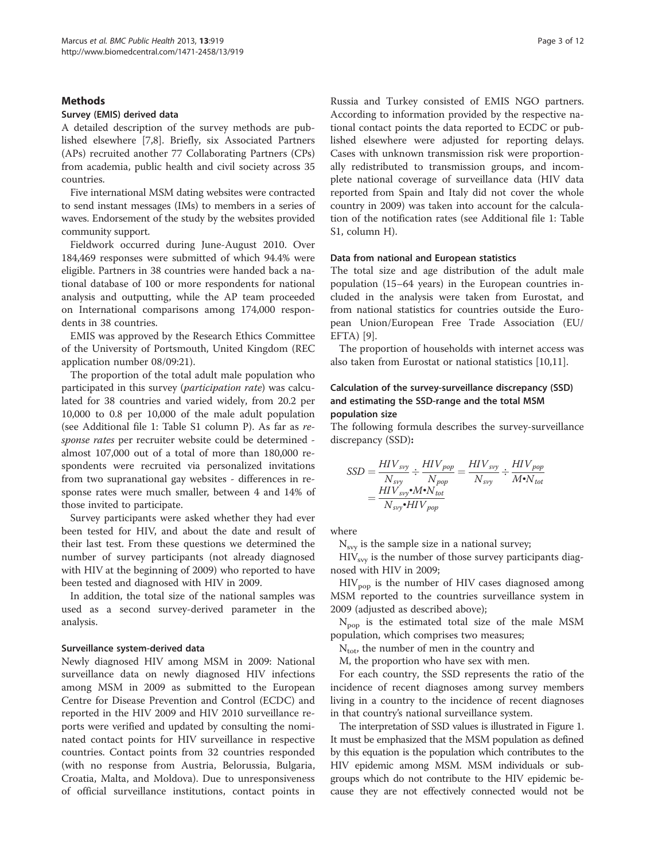# **Methods**

### Survey (EMIS) derived data

A detailed description of the survey methods are published elsewhere [\[7,8](#page-11-0)]. Briefly, six Associated Partners (APs) recruited another 77 Collaborating Partners (CPs) from academia, public health and civil society across 35 countries.

Five international MSM dating websites were contracted to send instant messages (IMs) to members in a series of waves. Endorsement of the study by the websites provided community support.

Fieldwork occurred during June-August 2010. Over 184,469 responses were submitted of which 94.4% were eligible. Partners in 38 countries were handed back a national database of 100 or more respondents for national analysis and outputting, while the AP team proceeded on International comparisons among 174,000 respondents in 38 countries.

EMIS was approved by the Research Ethics Committee of the University of Portsmouth, United Kingdom (REC application number 08/09:21).

The proportion of the total adult male population who participated in this survey (participation rate) was calculated for 38 countries and varied widely, from 20.2 per 10,000 to 0.8 per 10,000 of the male adult population (see Additional file [1:](#page-10-0) Table S1 column P). As far as response rates per recruiter website could be determined almost 107,000 out of a total of more than 180,000 respondents were recruited via personalized invitations from two supranational gay websites - differences in response rates were much smaller, between 4 and 14% of those invited to participate.

Survey participants were asked whether they had ever been tested for HIV, and about the date and result of their last test. From these questions we determined the number of survey participants (not already diagnosed with HIV at the beginning of 2009) who reported to have been tested and diagnosed with HIV in 2009.

In addition, the total size of the national samples was used as a second survey-derived parameter in the analysis.

### Surveillance system-derived data

Newly diagnosed HIV among MSM in 2009: National surveillance data on newly diagnosed HIV infections among MSM in 2009 as submitted to the European Centre for Disease Prevention and Control (ECDC) and reported in the HIV 2009 and HIV 2010 surveillance reports were verified and updated by consulting the nominated contact points for HIV surveillance in respective countries. Contact points from 32 countries responded (with no response from Austria, Belorussia, Bulgaria, Croatia, Malta, and Moldova). Due to unresponsiveness of official surveillance institutions, contact points in

Russia and Turkey consisted of EMIS NGO partners. According to information provided by the respective national contact points the data reported to ECDC or published elsewhere were adjusted for reporting delays. Cases with unknown transmission risk were proportionally redistributed to transmission groups, and incomplete national coverage of surveillance data (HIV data reported from Spain and Italy did not cover the whole country in 2009) was taken into account for the calculation of the notification rates (see Additional file [1:](#page-10-0) Table S1, column H).

### Data from national and European statistics

The total size and age distribution of the adult male population (15–64 years) in the European countries included in the analysis were taken from Eurostat, and from national statistics for countries outside the European Union/European Free Trade Association (EU/ EFTA) [[9\]](#page-11-0).

The proportion of households with internet access was also taken from Eurostat or national statistics [\[10,11\]](#page-11-0).

# Calculation of the survey-surveillance discrepancy (SSD) and estimating the SSD-range and the total MSM population size

The following formula describes the survey-surveillance discrepancy (SSD):

$$
SSD = \frac{HIV_{svy}}{N_{svy}} \div \frac{HIV_{pop}}{N_{pop}} = \frac{HIV_{svy}}{N_{svy}} \div \frac{HIV_{pop}}{M \cdot N_{tot}}
$$

$$
= \frac{HIV_{svy} \cdot M \cdot N_{tot}}{N_{svy} \cdot HIV_{pop}}
$$

where

 $N_{\text{svv}}$  is the sample size in a national survey;

 $HIV<sub>svv</sub>$  is the number of those survey participants diagnosed with HIV in 2009;

 $HIV<sub>pop</sub>$  is the number of HIV cases diagnosed among MSM reported to the countries surveillance system in 2009 (adjusted as described above);

 $N_{\text{pop}}$  is the estimated total size of the male MSM population, which comprises two measures;

 $N_{\text{tot}}$ , the number of men in the country and

M, the proportion who have sex with men.

For each country, the SSD represents the ratio of the incidence of recent diagnoses among survey members living in a country to the incidence of recent diagnoses in that country's national surveillance system.

The interpretation of SSD values is illustrated in Figure [1](#page-4-0). It must be emphasized that the MSM population as defined by this equation is the population which contributes to the HIV epidemic among MSM. MSM individuals or subgroups which do not contribute to the HIV epidemic because they are not effectively connected would not be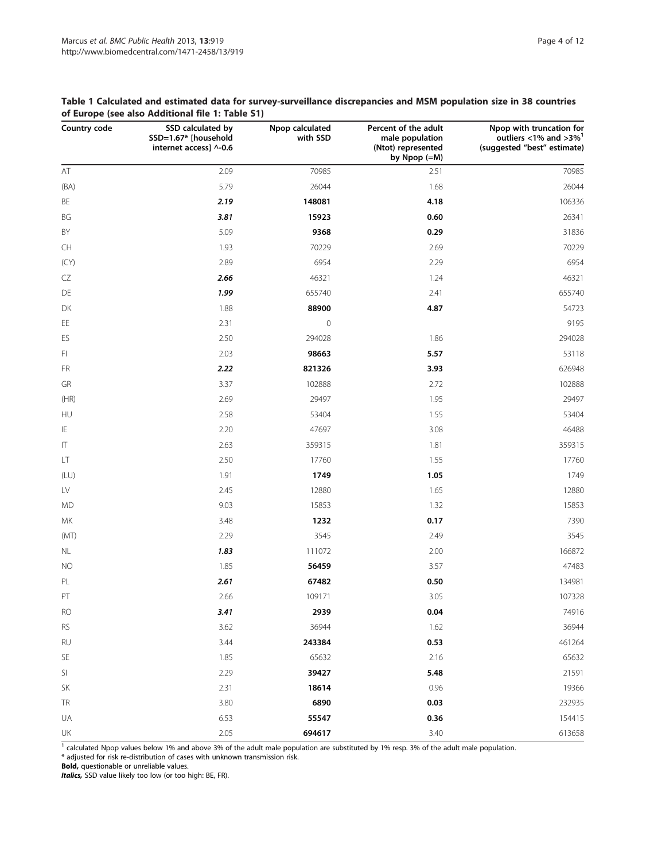| Country code                      | SSD calculated by<br>SSD=1.67* [household<br>internet access] ^-0.6 | Npop calculated<br>with SSD | Percent of the adult<br>male population<br>(Ntot) represented<br>by Npop (=M) | Npop with truncation for<br>outliers <1% and >3% $1$<br>(suggested "best" estimate) |
|-----------------------------------|---------------------------------------------------------------------|-----------------------------|-------------------------------------------------------------------------------|-------------------------------------------------------------------------------------|
| $\mathsf{AT}$                     | 2.09                                                                | 70985                       | 2.51                                                                          | 70985                                                                               |
| (BA)                              | 5.79                                                                | 26044                       | 1.68                                                                          | 26044                                                                               |
| BE                                | 2.19                                                                | 148081                      | 4.18                                                                          | 106336                                                                              |
| BG                                | 3.81                                                                | 15923                       | 0.60                                                                          | 26341                                                                               |
| BY                                | 5.09                                                                | 9368                        | 0.29                                                                          | 31836                                                                               |
| CH                                | 1.93                                                                | 70229                       | 2.69                                                                          | 70229                                                                               |
| (CY)                              | 2.89                                                                | 6954                        | 2.29                                                                          | 6954                                                                                |
| CZ                                | 2.66                                                                | 46321                       | 1.24                                                                          | 46321                                                                               |
| DE                                | 1.99                                                                | 655740                      | 2.41                                                                          | 655740                                                                              |
| DK                                | 1.88                                                                | 88900                       | 4.87                                                                          | 54723                                                                               |
| $\mathsf{EE}$                     | 2.31                                                                | $\mathbf 0$                 |                                                                               | 9195                                                                                |
| ES                                | 2.50                                                                | 294028                      | 1.86                                                                          | 294028                                                                              |
| FI.                               | 2.03                                                                | 98663                       | 5.57                                                                          | 53118                                                                               |
| FR                                | 2.22                                                                | 821326                      | 3.93                                                                          | 626948                                                                              |
| GR                                | 3.37                                                                | 102888                      | 2.72                                                                          | 102888                                                                              |
| (HR)                              | 2.69                                                                | 29497                       | 1.95                                                                          | 29497                                                                               |
| HU                                | 2.58                                                                | 53404                       | 1.55                                                                          | 53404                                                                               |
| IE                                | 2.20                                                                | 47697                       | 3.08                                                                          | 46488                                                                               |
| $\ensuremath{\mathsf{IT}}\xspace$ | 2.63                                                                | 359315                      | 1.81                                                                          | 359315                                                                              |
| LT                                | 2.50                                                                | 17760                       | 1.55                                                                          | 17760                                                                               |
| (LU)                              | 1.91                                                                | 1749                        | 1.05                                                                          | 1749                                                                                |
| LV                                | 2.45                                                                | 12880                       | 1.65                                                                          | 12880                                                                               |
| <b>MD</b>                         | 9.03                                                                | 15853                       | 1.32                                                                          | 15853                                                                               |
| MK                                | 3.48                                                                | 1232                        | 0.17                                                                          | 7390                                                                                |
| (MT)                              | 2.29                                                                | 3545                        | 2.49                                                                          | 3545                                                                                |
| NL                                | 1.83                                                                | 111072                      | 2.00                                                                          | 166872                                                                              |
| <b>NO</b>                         | 1.85                                                                | 56459                       | 3.57                                                                          | 47483                                                                               |
| PL                                | 2.61                                                                | 67482                       | 0.50                                                                          | 134981                                                                              |
| PT                                | 2.66                                                                | 109171                      | 3.05                                                                          | 107328                                                                              |
| <b>RO</b>                         | 3.41                                                                | 2939                        | 0.04                                                                          | 74916                                                                               |
| <b>RS</b>                         | 3.62                                                                | 36944                       | 1.62                                                                          | 36944                                                                               |
| RU                                | 3.44                                                                | 243384                      | 0.53                                                                          | 461264                                                                              |
| SE                                | 1.85                                                                | 65632                       | 2.16                                                                          | 65632                                                                               |
| SI                                | 2.29                                                                | 39427                       | 5.48                                                                          | 21591                                                                               |
| SK                                | 2.31                                                                | 18614                       | 0.96                                                                          | 19366                                                                               |
| <b>TR</b>                         | 3.80                                                                | 6890                        | 0.03                                                                          | 232935                                                                              |
| UA                                | 6.53                                                                | 55547                       | 0.36                                                                          | 154415                                                                              |
| UK                                | 2.05                                                                | 694617                      | 3.40                                                                          | 613658                                                                              |

<span id="page-3-0"></span>Table 1 Calculated and estimated data for survey-surveillance discrepancies and MSM population size in 38 countries of Europe (see also Additional file [1](#page-10-0): Table S1)

 $\frac{1}{1}$  calculated Npop values below 1% and above 3% of the adult male population are substituted by 1% resp. 3% of the adult male population.

\* adjusted for risk re-distribution of cases with unknown transmission risk.

Bold, questionable or unreliable values.

Italics, SSD value likely too low (or too high: BE, FR).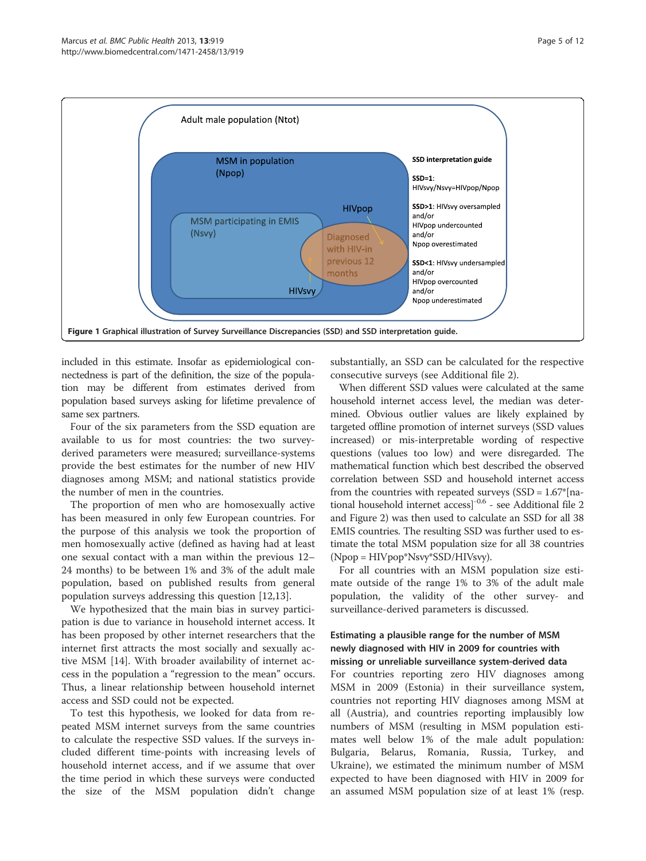<span id="page-4-0"></span>

included in this estimate. Insofar as epidemiological connectedness is part of the definition, the size of the population may be different from estimates derived from population based surveys asking for lifetime prevalence of same sex partners.

Four of the six parameters from the SSD equation are available to us for most countries: the two surveyderived parameters were measured; surveillance-systems provide the best estimates for the number of new HIV diagnoses among MSM; and national statistics provide the number of men in the countries.

The proportion of men who are homosexually active has been measured in only few European countries. For the purpose of this analysis we took the proportion of men homosexually active (defined as having had at least one sexual contact with a man within the previous 12– 24 months) to be between 1% and 3% of the adult male population, based on published results from general population surveys addressing this question [[12,13\]](#page-11-0).

We hypothesized that the main bias in survey participation is due to variance in household internet access. It has been proposed by other internet researchers that the internet first attracts the most socially and sexually active MSM [\[14\]](#page-11-0). With broader availability of internet access in the population a "regression to the mean" occurs. Thus, a linear relationship between household internet access and SSD could not be expected.

To test this hypothesis, we looked for data from repeated MSM internet surveys from the same countries to calculate the respective SSD values. If the surveys included different time-points with increasing levels of household internet access, and if we assume that over the time period in which these surveys were conducted the size of the MSM population didn't change substantially, an SSD can be calculated for the respective consecutive surveys (see Additional file [2](#page-10-0)).

When different SSD values were calculated at the same household internet access level, the median was determined. Obvious outlier values are likely explained by targeted offline promotion of internet surveys (SSD values increased) or mis-interpretable wording of respective questions (values too low) and were disregarded. The mathematical function which best described the observed correlation between SSD and household internet access from the countries with repeated surveys  $(SSD = 1.67$ <sup>\*</sup>[national household internet access]-0.6 - see Additional file [2](#page-10-0) and Figure [2](#page-5-0)) was then used to calculate an SSD for all 38 EMIS countries. The resulting SSD was further used to estimate the total MSM population size for all 38 countries (Npop = HIVpop\*Nsvy\*SSD/HIVsvy).

For all countries with an MSM population size estimate outside of the range 1% to 3% of the adult male population, the validity of the other survey- and surveillance-derived parameters is discussed.

# Estimating a plausible range for the number of MSM newly diagnosed with HIV in 2009 for countries with missing or unreliable surveillance system-derived data

For countries reporting zero HIV diagnoses among MSM in 2009 (Estonia) in their surveillance system, countries not reporting HIV diagnoses among MSM at all (Austria), and countries reporting implausibly low numbers of MSM (resulting in MSM population estimates well below 1% of the male adult population: Bulgaria, Belarus, Romania, Russia, Turkey, and Ukraine), we estimated the minimum number of MSM expected to have been diagnosed with HIV in 2009 for an assumed MSM population size of at least 1% (resp.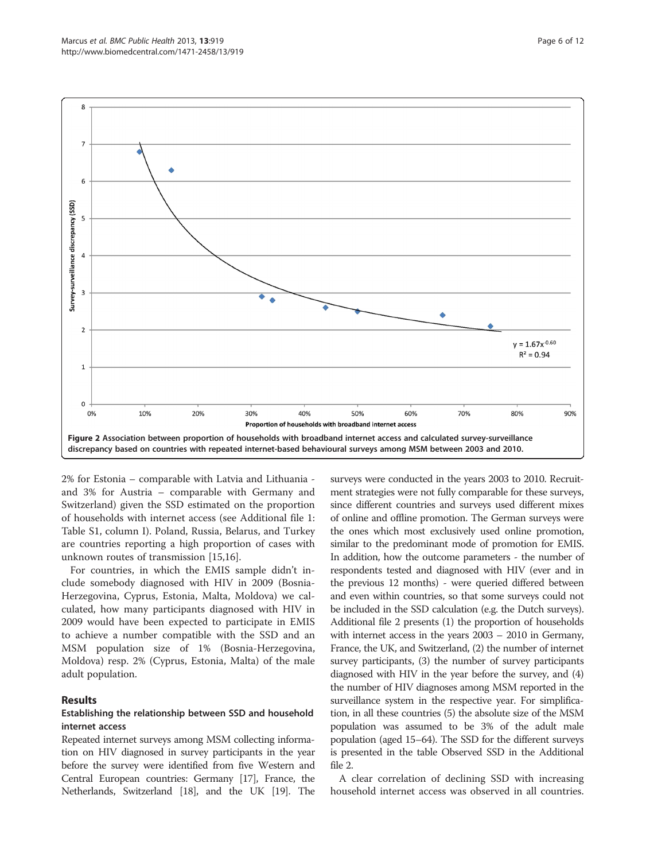<span id="page-5-0"></span>

2% for Estonia – comparable with Latvia and Lithuania and 3% for Austria – comparable with Germany and Switzerland) given the SSD estimated on the proportion of households with internet access (see Additional file [1](#page-10-0): Table S1, column I). Poland, Russia, Belarus, and Turkey are countries reporting a high proportion of cases with unknown routes of transmission [\[15,16](#page-11-0)].

For countries, in which the EMIS sample didn't include somebody diagnosed with HIV in 2009 (Bosnia-Herzegovina, Cyprus, Estonia, Malta, Moldova) we calculated, how many participants diagnosed with HIV in 2009 would have been expected to participate in EMIS to achieve a number compatible with the SSD and an MSM population size of 1% (Bosnia-Herzegovina, Moldova) resp. 2% (Cyprus, Estonia, Malta) of the male adult population.

# Results

### Establishing the relationship between SSD and household internet access

Repeated internet surveys among MSM collecting information on HIV diagnosed in survey participants in the year before the survey were identified from five Western and Central European countries: Germany [[17](#page-11-0)], France, the Netherlands, Switzerland [[18](#page-11-0)], and the UK [[19\]](#page-11-0). The surveys were conducted in the years 2003 to 2010. Recruitment strategies were not fully comparable for these surveys, since different countries and surveys used different mixes of online and offline promotion. The German surveys were the ones which most exclusively used online promotion, similar to the predominant mode of promotion for EMIS. In addition, how the outcome parameters - the number of respondents tested and diagnosed with HIV (ever and in the previous 12 months) - were queried differed between and even within countries, so that some surveys could not be included in the SSD calculation (e.g. the Dutch surveys). Additional file [2](#page-10-0) presents (1) the proportion of households with internet access in the years 2003 – 2010 in Germany, France, the UK, and Switzerland, (2) the number of internet survey participants, (3) the number of survey participants diagnosed with HIV in the year before the survey, and (4) the number of HIV diagnoses among MSM reported in the surveillance system in the respective year. For simplification, in all these countries (5) the absolute size of the MSM population was assumed to be 3% of the adult male population (aged 15–64). The SSD for the different surveys is presented in the table Observed SSD in the Additional file [2.](#page-10-0)

A clear correlation of declining SSD with increasing household internet access was observed in all countries.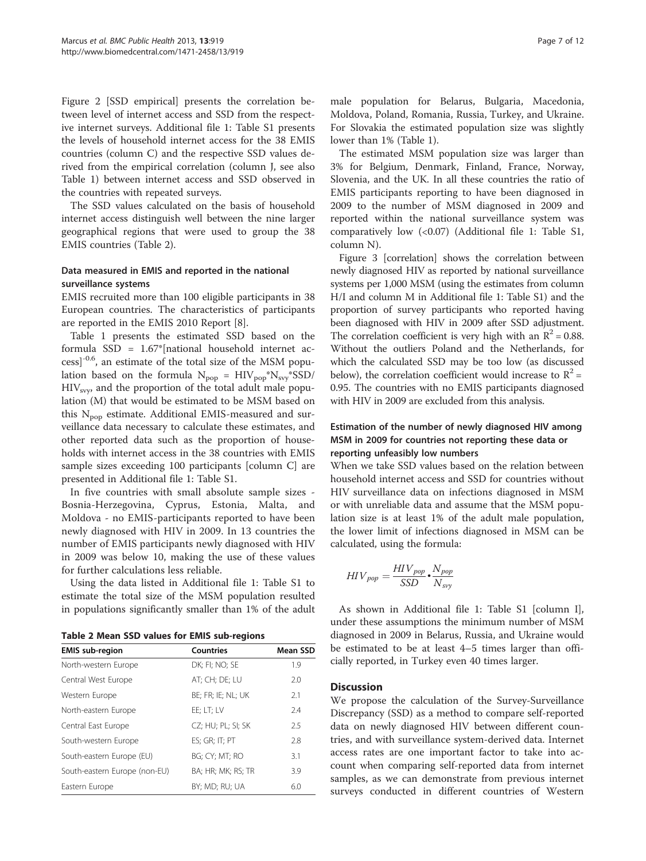Figure [2](#page-5-0) [SSD empirical] presents the correlation between level of internet access and SSD from the respective internet surveys. Additional file [1](#page-10-0): Table S1 presents the levels of household internet access for the 38 EMIS countries (column C) and the respective SSD values derived from the empirical correlation (column J, see also Table [1](#page-3-0)) between internet access and SSD observed in the countries with repeated surveys.

The SSD values calculated on the basis of household internet access distinguish well between the nine larger geographical regions that were used to group the 38 EMIS countries (Table 2).

# Data measured in EMIS and reported in the national surveillance systems

EMIS recruited more than 100 eligible participants in 38 European countries. The characteristics of participants are reported in the EMIS 2010 Report [\[8\]](#page-11-0).

Table [1](#page-3-0) presents the estimated SSD based on the formula SSD = 1.67\*[national household internet access]-0.6, an estimate of the total size of the MSM population based on the formula  $N_{pop} = HIV_{pop} * N_{svy} * SSD/$  $HIV<sub>svv</sub>$  and the proportion of the total adult male population (M) that would be estimated to be MSM based on this  $N_{\text{pop}}$  estimate. Additional EMIS-measured and surveillance data necessary to calculate these estimates, and other reported data such as the proportion of households with internet access in the 38 countries with EMIS sample sizes exceeding 100 participants [column C] are presented in Additional file [1:](#page-10-0) Table S1.

In five countries with small absolute sample sizes - Bosnia-Herzegovina, Cyprus, Estonia, Malta, and Moldova - no EMIS-participants reported to have been newly diagnosed with HIV in 2009. In 13 countries the number of EMIS participants newly diagnosed with HIV in 2009 was below 10, making the use of these values for further calculations less reliable.

Using the data listed in Additional file [1](#page-10-0): Table S1 to estimate the total size of the MSM population resulted in populations significantly smaller than 1% of the adult

|  |  |  |  |  |  |  | Table 2 Mean SSD values for EMIS sub-regions |
|--|--|--|--|--|--|--|----------------------------------------------|
|--|--|--|--|--|--|--|----------------------------------------------|

| <b>EMIS</b> sub-region        | <b>Countries</b>   | Mean SSD |
|-------------------------------|--------------------|----------|
| North-western Europe          | DK; FI; NO; SE     | 1.9      |
| Central West Europe           | AT; CH; DE; LU     | 2.0      |
| Western Europe                | BE; FR; IE; NL; UK | 2.1      |
| North-eastern Europe          | EE: LT: LV         | 2.4      |
| Central East Europe           | CZ; HU; PL; SI; SK | 2.5      |
| South-western Europe          | ES; GR; IT; PT     | 2.8      |
| South-eastern Europe (EU)     | BG; CY; MT; RO     | 3.1      |
| South-eastern Europe (non-EU) | BA; HR; MK; RS; TR | 3.9      |
| Eastern Europe                | BY: MD: RU: UA     | 6.0      |

male population for Belarus, Bulgaria, Macedonia, Moldova, Poland, Romania, Russia, Turkey, and Ukraine. For Slovakia the estimated population size was slightly lower than 1% (Table [1](#page-3-0)).

The estimated MSM population size was larger than 3% for Belgium, Denmark, Finland, France, Norway, Slovenia, and the UK. In all these countries the ratio of EMIS participants reporting to have been diagnosed in 2009 to the number of MSM diagnosed in 2009 and reported within the national surveillance system was comparatively low (<0.07) (Additional file [1:](#page-10-0) Table S1, column N).

Figure [3](#page-7-0) [correlation] shows the correlation between newly diagnosed HIV as reported by national surveillance systems per 1,000 MSM (using the estimates from column H/I and column M in Additional file [1](#page-10-0): Table S1) and the proportion of survey participants who reported having been diagnosed with HIV in 2009 after SSD adjustment. The correlation coefficient is very high with an  $\mathbb{R}^2$  = 0.88. Without the outliers Poland and the Netherlands, for which the calculated SSD may be too low (as discussed below), the correlation coefficient would increase to  $R^2$  = 0.95. The countries with no EMIS participants diagnosed with HIV in 2009 are excluded from this analysis.

# Estimation of the number of newly diagnosed HIV among MSM in 2009 for countries not reporting these data or reporting unfeasibly low numbers

When we take SSD values based on the relation between household internet access and SSD for countries without HIV surveillance data on infections diagnosed in MSM or with unreliable data and assume that the MSM population size is at least 1% of the adult male population, the lower limit of infections diagnosed in MSM can be calculated, using the formula:

$$
HIV_{pop} = \frac{HIV_{pop}}{SSD} \cdot \frac{N_{pop}}{N_{sv}}
$$

As shown in Additional file [1](#page-10-0): Table S1 [column I], under these assumptions the minimum number of MSM diagnosed in 2009 in Belarus, Russia, and Ukraine would be estimated to be at least 4–5 times larger than officially reported, in Turkey even 40 times larger.

# **Discussion**

We propose the calculation of the Survey-Surveillance Discrepancy (SSD) as a method to compare self-reported data on newly diagnosed HIV between different countries, and with surveillance system-derived data. Internet access rates are one important factor to take into account when comparing self-reported data from internet samples, as we can demonstrate from previous internet surveys conducted in different countries of Western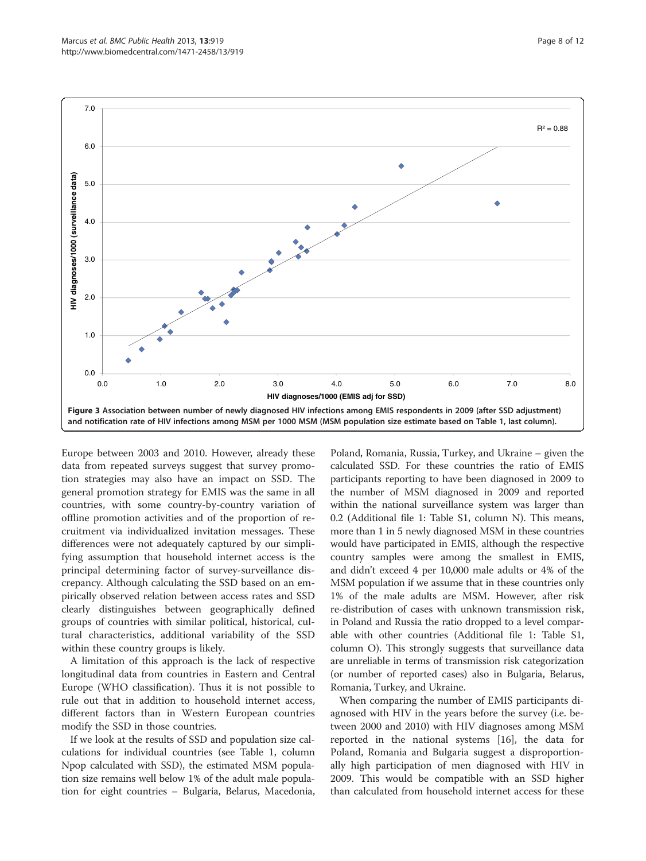<span id="page-7-0"></span>

Europe between 2003 and 2010. However, already these data from repeated surveys suggest that survey promotion strategies may also have an impact on SSD. The general promotion strategy for EMIS was the same in all countries, with some country-by-country variation of offline promotion activities and of the proportion of recruitment via individualized invitation messages. These differences were not adequately captured by our simplifying assumption that household internet access is the principal determining factor of survey-surveillance discrepancy. Although calculating the SSD based on an empirically observed relation between access rates and SSD clearly distinguishes between geographically defined groups of countries with similar political, historical, cultural characteristics, additional variability of the SSD within these country groups is likely.

A limitation of this approach is the lack of respective longitudinal data from countries in Eastern and Central Europe (WHO classification). Thus it is not possible to rule out that in addition to household internet access, different factors than in Western European countries modify the SSD in those countries.

If we look at the results of SSD and population size calculations for individual countries (see Table [1,](#page-3-0) column Npop calculated with SSD), the estimated MSM population size remains well below 1% of the adult male population for eight countries – Bulgaria, Belarus, Macedonia,

Poland, Romania, Russia, Turkey, and Ukraine – given the calculated SSD. For these countries the ratio of EMIS participants reporting to have been diagnosed in 2009 to the number of MSM diagnosed in 2009 and reported within the national surveillance system was larger than 0.2 (Additional file [1](#page-10-0): Table S1, column N). This means, more than 1 in 5 newly diagnosed MSM in these countries would have participated in EMIS, although the respective country samples were among the smallest in EMIS, and didn't exceed 4 per 10,000 male adults or 4% of the MSM population if we assume that in these countries only 1% of the male adults are MSM. However, after risk re-distribution of cases with unknown transmission risk, in Poland and Russia the ratio dropped to a level comparable with other countries (Additional file [1](#page-10-0): Table S1, column O). This strongly suggests that surveillance data are unreliable in terms of transmission risk categorization (or number of reported cases) also in Bulgaria, Belarus, Romania, Turkey, and Ukraine.

When comparing the number of EMIS participants diagnosed with HIV in the years before the survey (i.e. between 2000 and 2010) with HIV diagnoses among MSM reported in the national systems [[16](#page-11-0)], the data for Poland, Romania and Bulgaria suggest a disproportionally high participation of men diagnosed with HIV in 2009. This would be compatible with an SSD higher than calculated from household internet access for these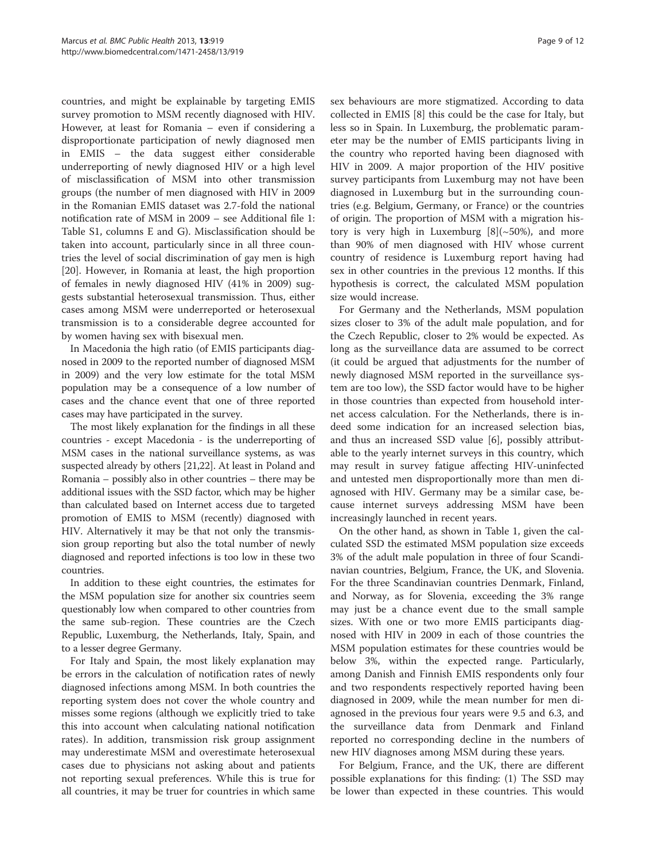countries, and might be explainable by targeting EMIS survey promotion to MSM recently diagnosed with HIV. However, at least for Romania – even if considering a disproportionate participation of newly diagnosed men in EMIS – the data suggest either considerable underreporting of newly diagnosed HIV or a high level of misclassification of MSM into other transmission groups (the number of men diagnosed with HIV in 2009 in the Romanian EMIS dataset was 2.7-fold the national notification rate of MSM in 2009 – see Additional file [1](#page-10-0): Table S1, columns E and G). Misclassification should be taken into account, particularly since in all three countries the level of social discrimination of gay men is high [[20\]](#page-11-0). However, in Romania at least, the high proportion of females in newly diagnosed HIV (41% in 2009) suggests substantial heterosexual transmission. Thus, either cases among MSM were underreported or heterosexual transmission is to a considerable degree accounted for by women having sex with bisexual men.

In Macedonia the high ratio (of EMIS participants diagnosed in 2009 to the reported number of diagnosed MSM in 2009) and the very low estimate for the total MSM population may be a consequence of a low number of cases and the chance event that one of three reported cases may have participated in the survey.

The most likely explanation for the findings in all these countries - except Macedonia - is the underreporting of MSM cases in the national surveillance systems, as was suspected already by others [\[21,22\]](#page-11-0). At least in Poland and Romania – possibly also in other countries – there may be additional issues with the SSD factor, which may be higher than calculated based on Internet access due to targeted promotion of EMIS to MSM (recently) diagnosed with HIV. Alternatively it may be that not only the transmission group reporting but also the total number of newly diagnosed and reported infections is too low in these two countries.

In addition to these eight countries, the estimates for the MSM population size for another six countries seem questionably low when compared to other countries from the same sub-region. These countries are the Czech Republic, Luxemburg, the Netherlands, Italy, Spain, and to a lesser degree Germany.

For Italy and Spain, the most likely explanation may be errors in the calculation of notification rates of newly diagnosed infections among MSM. In both countries the reporting system does not cover the whole country and misses some regions (although we explicitly tried to take this into account when calculating national notification rates). In addition, transmission risk group assignment may underestimate MSM and overestimate heterosexual cases due to physicians not asking about and patients not reporting sexual preferences. While this is true for all countries, it may be truer for countries in which same

sex behaviours are more stigmatized. According to data collected in EMIS [\[8](#page-11-0)] this could be the case for Italy, but less so in Spain. In Luxemburg, the problematic parameter may be the number of EMIS participants living in the country who reported having been diagnosed with HIV in 2009. A major proportion of the HIV positive survey participants from Luxemburg may not have been diagnosed in Luxemburg but in the surrounding countries (e.g. Belgium, Germany, or France) or the countries of origin. The proportion of MSM with a migration history is very high in Luxemburg  $[8]$  $[8]$ ( $\sim$ 50%), and more than 90% of men diagnosed with HIV whose current country of residence is Luxemburg report having had sex in other countries in the previous 12 months. If this hypothesis is correct, the calculated MSM population size would increase.

For Germany and the Netherlands, MSM population sizes closer to 3% of the adult male population, and for the Czech Republic, closer to 2% would be expected. As long as the surveillance data are assumed to be correct (it could be argued that adjustments for the number of newly diagnosed MSM reported in the surveillance system are too low), the SSD factor would have to be higher in those countries than expected from household internet access calculation. For the Netherlands, there is indeed some indication for an increased selection bias, and thus an increased SSD value [\[6](#page-11-0)], possibly attributable to the yearly internet surveys in this country, which may result in survey fatigue affecting HIV-uninfected and untested men disproportionally more than men diagnosed with HIV. Germany may be a similar case, because internet surveys addressing MSM have been increasingly launched in recent years.

On the other hand, as shown in Table [1,](#page-3-0) given the calculated SSD the estimated MSM population size exceeds 3% of the adult male population in three of four Scandinavian countries, Belgium, France, the UK, and Slovenia. For the three Scandinavian countries Denmark, Finland, and Norway, as for Slovenia, exceeding the 3% range may just be a chance event due to the small sample sizes. With one or two more EMIS participants diagnosed with HIV in 2009 in each of those countries the MSM population estimates for these countries would be below 3%, within the expected range. Particularly, among Danish and Finnish EMIS respondents only four and two respondents respectively reported having been diagnosed in 2009, while the mean number for men diagnosed in the previous four years were 9.5 and 6.3, and the surveillance data from Denmark and Finland reported no corresponding decline in the numbers of new HIV diagnoses among MSM during these years.

For Belgium, France, and the UK, there are different possible explanations for this finding: (1) The SSD may be lower than expected in these countries. This would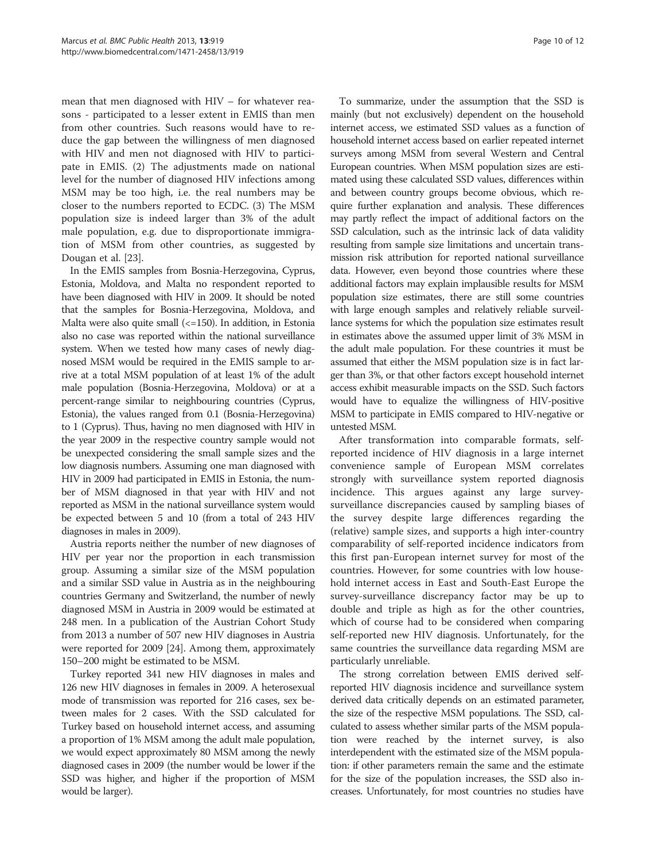mean that men diagnosed with HIV – for whatever reasons - participated to a lesser extent in EMIS than men from other countries. Such reasons would have to reduce the gap between the willingness of men diagnosed with HIV and men not diagnosed with HIV to participate in EMIS. (2) The adjustments made on national level for the number of diagnosed HIV infections among MSM may be too high, i.e. the real numbers may be closer to the numbers reported to ECDC. (3) The MSM population size is indeed larger than 3% of the adult male population, e.g. due to disproportionate immigration of MSM from other countries, as suggested by Dougan et al. [\[23](#page-11-0)].

In the EMIS samples from Bosnia-Herzegovina, Cyprus, Estonia, Moldova, and Malta no respondent reported to have been diagnosed with HIV in 2009. It should be noted that the samples for Bosnia-Herzegovina, Moldova, and Malta were also quite small  $\left( \langle 150 \rangle \right)$ . In addition, in Estonia also no case was reported within the national surveillance system. When we tested how many cases of newly diagnosed MSM would be required in the EMIS sample to arrive at a total MSM population of at least 1% of the adult male population (Bosnia-Herzegovina, Moldova) or at a percent-range similar to neighbouring countries (Cyprus, Estonia), the values ranged from 0.1 (Bosnia-Herzegovina) to 1 (Cyprus). Thus, having no men diagnosed with HIV in the year 2009 in the respective country sample would not be unexpected considering the small sample sizes and the low diagnosis numbers. Assuming one man diagnosed with HIV in 2009 had participated in EMIS in Estonia, the number of MSM diagnosed in that year with HIV and not reported as MSM in the national surveillance system would be expected between 5 and 10 (from a total of 243 HIV diagnoses in males in 2009).

Austria reports neither the number of new diagnoses of HIV per year nor the proportion in each transmission group. Assuming a similar size of the MSM population and a similar SSD value in Austria as in the neighbouring countries Germany and Switzerland, the number of newly diagnosed MSM in Austria in 2009 would be estimated at 248 men. In a publication of the Austrian Cohort Study from 2013 a number of 507 new HIV diagnoses in Austria were reported for 2009 [\[24](#page-11-0)]. Among them, approximately 150–200 might be estimated to be MSM.

Turkey reported 341 new HIV diagnoses in males and 126 new HIV diagnoses in females in 2009. A heterosexual mode of transmission was reported for 216 cases, sex between males for 2 cases. With the SSD calculated for Turkey based on household internet access, and assuming a proportion of 1% MSM among the adult male population, we would expect approximately 80 MSM among the newly diagnosed cases in 2009 (the number would be lower if the SSD was higher, and higher if the proportion of MSM would be larger).

To summarize, under the assumption that the SSD is mainly (but not exclusively) dependent on the household internet access, we estimated SSD values as a function of household internet access based on earlier repeated internet surveys among MSM from several Western and Central European countries. When MSM population sizes are estimated using these calculated SSD values, differences within and between country groups become obvious, which require further explanation and analysis. These differences may partly reflect the impact of additional factors on the SSD calculation, such as the intrinsic lack of data validity resulting from sample size limitations and uncertain transmission risk attribution for reported national surveillance data. However, even beyond those countries where these additional factors may explain implausible results for MSM population size estimates, there are still some countries with large enough samples and relatively reliable surveillance systems for which the population size estimates result in estimates above the assumed upper limit of 3% MSM in the adult male population. For these countries it must be assumed that either the MSM population size is in fact larger than 3%, or that other factors except household internet access exhibit measurable impacts on the SSD. Such factors would have to equalize the willingness of HIV-positive MSM to participate in EMIS compared to HIV-negative or untested MSM.

After transformation into comparable formats, selfreported incidence of HIV diagnosis in a large internet convenience sample of European MSM correlates strongly with surveillance system reported diagnosis incidence. This argues against any large surveysurveillance discrepancies caused by sampling biases of the survey despite large differences regarding the (relative) sample sizes, and supports a high inter-country comparability of self-reported incidence indicators from this first pan-European internet survey for most of the countries. However, for some countries with low household internet access in East and South-East Europe the survey-surveillance discrepancy factor may be up to double and triple as high as for the other countries, which of course had to be considered when comparing self-reported new HIV diagnosis. Unfortunately, for the same countries the surveillance data regarding MSM are particularly unreliable.

The strong correlation between EMIS derived selfreported HIV diagnosis incidence and surveillance system derived data critically depends on an estimated parameter, the size of the respective MSM populations. The SSD, calculated to assess whether similar parts of the MSM population were reached by the internet survey, is also interdependent with the estimated size of the MSM population: if other parameters remain the same and the estimate for the size of the population increases, the SSD also increases. Unfortunately, for most countries no studies have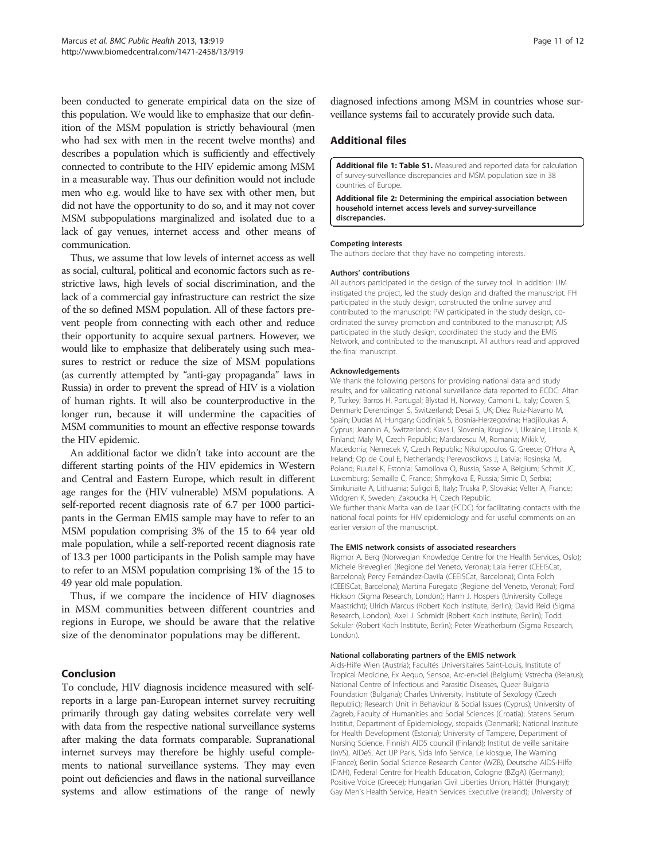<span id="page-10-0"></span>been conducted to generate empirical data on the size of this population. We would like to emphasize that our definition of the MSM population is strictly behavioural (men who had sex with men in the recent twelve months) and describes a population which is sufficiently and effectively connected to contribute to the HIV epidemic among MSM in a measurable way. Thus our definition would not include men who e.g. would like to have sex with other men, but did not have the opportunity to do so, and it may not cover MSM subpopulations marginalized and isolated due to a lack of gay venues, internet access and other means of communication.

Thus, we assume that low levels of internet access as well as social, cultural, political and economic factors such as restrictive laws, high levels of social discrimination, and the lack of a commercial gay infrastructure can restrict the size of the so defined MSM population. All of these factors prevent people from connecting with each other and reduce their opportunity to acquire sexual partners. However, we would like to emphasize that deliberately using such measures to restrict or reduce the size of MSM populations (as currently attempted by "anti-gay propaganda" laws in Russia) in order to prevent the spread of HIV is a violation of human rights. It will also be counterproductive in the longer run, because it will undermine the capacities of MSM communities to mount an effective response towards the HIV epidemic.

An additional factor we didn't take into account are the different starting points of the HIV epidemics in Western and Central and Eastern Europe, which result in different age ranges for the (HIV vulnerable) MSM populations. A self-reported recent diagnosis rate of 6.7 per 1000 participants in the German EMIS sample may have to refer to an MSM population comprising 3% of the 15 to 64 year old male population, while a self-reported recent diagnosis rate of 13.3 per 1000 participants in the Polish sample may have to refer to an MSM population comprising 1% of the 15 to 49 year old male population.

Thus, if we compare the incidence of HIV diagnoses in MSM communities between different countries and regions in Europe, we should be aware that the relative size of the denominator populations may be different.

# Conclusion

To conclude, HIV diagnosis incidence measured with selfreports in a large pan-European internet survey recruiting primarily through gay dating websites correlate very well with data from the respective national surveillance systems after making the data formats comparable. Supranational internet surveys may therefore be highly useful complements to national surveillance systems. They may even point out deficiencies and flaws in the national surveillance systems and allow estimations of the range of newly diagnosed infections among MSM in countries whose surveillance systems fail to accurately provide such data.

# Additional files

[Additional file 1: Table S1.](http://www.biomedcentral.com/content/supplementary/1471-2458-13-919-S1.pdf) Measured and reported data for calculation of survey-surveillance discrepancies and MSM population size in 38 countries of Europe.

[Additional file 2:](http://www.biomedcentral.com/content/supplementary/1471-2458-13-919-S2.pdf) Determining the empirical association between household internet access levels and survey-surveillance discrepancies.

### Competing interests

The authors declare that they have no competing interests.

### Authors' contributions

All authors participated in the design of the survey tool. In addition: UM instigated the project, led the study design and drafted the manuscript. FH participated in the study design, constructed the online survey and contributed to the manuscript; PW participated in the study design, coordinated the survey promotion and contributed to the manuscript; AJS participated in the study design, coordinated the study and the EMIS Network, and contributed to the manuscript. All authors read and approved the final manuscript.

#### Acknowledgements

We thank the following persons for providing national data and study results, and for validating national surveillance data reported to ECDC: Altan P, Turkey; Barros H, Portugal; Blystad H, Norway; Camoni L, Italy; Cowen S, Denmark; Derendinger S, Switzerland; Desai S, UK; Diez Ruiz-Navarro M, Spain; Dudas M, Hungary; Godinjak S, Bosnia-Herzegovina; Hadjiloukas A, Cyprus; Jeannin A, Switzerland; Klavs I, Slovenia; Kruglov I, Ukraine; Liitsola K, Finland; Maly M, Czech Republic; Mardarescu M, Romania; Mikik V, Macedonia; Nemecek V, Czech Republic; Nikolopoulos G, Greece; O'Hora A, Ireland; Op de Coul E, Netherlands; Perevoscikovs J, Latvia; Rosinska M, Poland; Ruutel K, Estonia; Samoilova O, Russia; Sasse A, Belgium; Schmit JC, Luxemburg; Semaille C, France; Shmykova E, Russia; Simic D, Serbia; Simkunaite A, Lithuania; Suligoi B, Italy; Truska P, Slovakia; Velter A, France; Widgren K, Sweden; Zakoucka H, Czech Republic. We further thank Marita van de Laar (ECDC) for facilitating contacts with the national focal points for HIV epidemiology and for useful comments on an earlier version of the manuscript.

#### The EMIS network consists of associated researchers

Rigmor A. Berg (Norwegian Knowledge Centre for the Health Services, Oslo); Michele Breveglieri (Regione del Veneto, Verona); Laia Ferrer (CEEISCat, Barcelona); Percy Fernández-Davila (CEEISCat, Barcelona); Cinta Folch (CEEISCat, Barcelona); Martina Furegato (Regione del Veneto, Verona); Ford Hickson (Sigma Research, London); Harm J. Hospers (University College Maastricht); Ulrich Marcus (Robert Koch Institute, Berlin); David Reid (Sigma Research, London); Axel J. Schmidt (Robert Koch Institute, Berlin); Todd Sekuler (Robert Koch Institute, Berlin); Peter Weatherburn (Sigma Research, London).

#### National collaborating partners of the EMIS network

Aids-Hilfe Wien (Austria); Facultés Universitaires Saint-Louis, Institute of Tropical Medicine, Ex Aequo, Sensoa, Arc-en-ciel (Belgium); Vstrecha (Belarus); National Centre of Infectious and Parasitic Diseases, Queer Bulgaria Foundation (Bulgaria); Charles University, Institute of Sexology (Czech Republic); Research Unit in Behaviour & Social Issues (Cyprus); University of Zagreb, Faculty of Humanities and Social Sciences (Croatia); Statens Serum Institut, Department of Epidemiology, stopaids (Denmark); National Institute for Health Development (Estonia); University of Tampere, Department of Nursing Science, Finnish AIDS council (Finland); Institut de veille sanitaire (InVS), AIDeS, Act UP Paris, Sida Info Service, Le kiosque, The Warning (France); Berlin Social Science Research Center (WZB), Deutsche AIDS-Hilfe (DAH), Federal Centre for Health Education, Cologne (BZgA) (Germany); Positive Voice (Greece); Hungarian Civil Liberties Union, Háttér (Hungary); Gay Men's Health Service, Health Services Executive (Ireland); University of